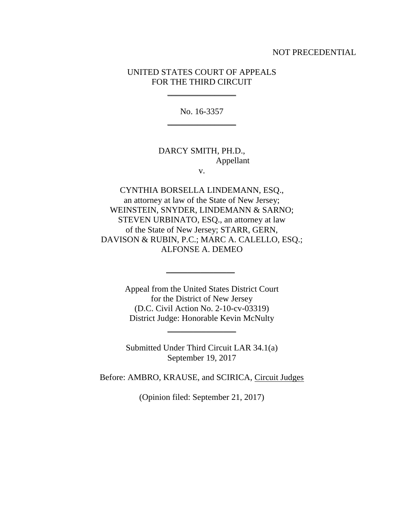#### NOT PRECEDENTIAL

### UNITED STATES COURT OF APPEALS FOR THE THIRD CIRCUIT

 $\overline{\phantom{a}}$  , where  $\overline{\phantom{a}}$ 

No. 16-3357 \_\_\_\_\_\_\_\_\_\_\_\_\_\_\_\_

# DARCY SMITH, PH.D., Appellant

v.

CYNTHIA BORSELLA LINDEMANN, ESQ., an attorney at law of the State of New Jersey; WEINSTEIN, SNYDER, LINDEMANN & SARNO; STEVEN URBINATO, ESQ., an attorney at law of the State of New Jersey; STARR, GERN, DAVISON & RUBIN, P.C.; MARC A. CALELLO, ESQ.; ALFONSE A. DEMEO

> Appeal from the United States District Court for the District of New Jersey (D.C. Civil Action No. 2-10-cv-03319) District Judge: Honorable Kevin McNulty

\_\_\_\_\_\_\_\_\_\_\_\_\_\_\_\_

Submitted Under Third Circuit LAR 34.1(a) September 19, 2017

 $\overline{\phantom{a}}$  , where  $\overline{\phantom{a}}$ 

Before: AMBRO, KRAUSE, and SCIRICA, Circuit Judges

(Opinion filed: September 21, 2017)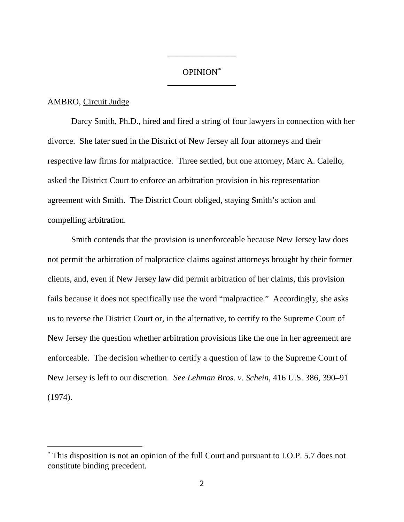## OPINION[\\*](#page-1-0) \_\_\_\_\_\_\_\_\_\_\_\_\_\_\_\_

\_\_\_\_\_\_\_\_\_\_\_\_\_\_\_\_

### AMBRO, Circuit Judge

Darcy Smith, Ph.D., hired and fired a string of four lawyers in connection with her divorce. She later sued in the District of New Jersey all four attorneys and their respective law firms for malpractice. Three settled, but one attorney, Marc A. Calello, asked the District Court to enforce an arbitration provision in his representation agreement with Smith. The District Court obliged, staying Smith's action and compelling arbitration.

Smith contends that the provision is unenforceable because New Jersey law does not permit the arbitration of malpractice claims against attorneys brought by their former clients, and, even if New Jersey law did permit arbitration of her claims, this provision fails because it does not specifically use the word "malpractice." Accordingly, she asks us to reverse the District Court or, in the alternative, to certify to the Supreme Court of New Jersey the question whether arbitration provisions like the one in her agreement are enforceable. The decision whether to certify a question of law to the Supreme Court of New Jersey is left to our discretion. *See Lehman Bros. v. Schein*, 416 U.S. 386, 390–91 (1974).

<span id="page-1-0"></span> <sup>\*</sup> This disposition is not an opinion of the full Court and pursuant to I.O.P. 5.7 does not constitute binding precedent.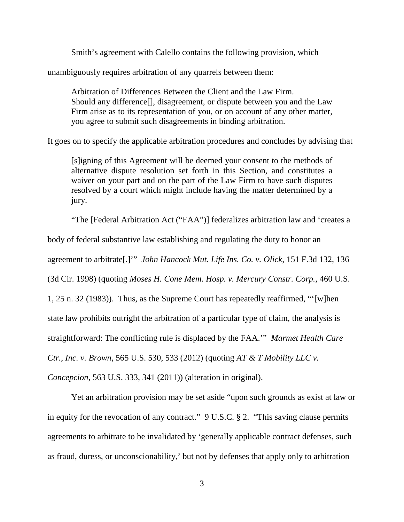Smith's agreement with Calello contains the following provision, which

unambiguously requires arbitration of any quarrels between them:

Arbitration of Differences Between the Client and the Law Firm. Should any difference[], disagreement, or dispute between you and the Law Firm arise as to its representation of you, or on account of any other matter, you agree to submit such disagreements in binding arbitration.

It goes on to specify the applicable arbitration procedures and concludes by advising that

[s]igning of this Agreement will be deemed your consent to the methods of alternative dispute resolution set forth in this Section, and constitutes a waiver on your part and on the part of the Law Firm to have such disputes resolved by a court which might include having the matter determined by a jury.

"The [Federal Arbitration Act ("FAA")] federalizes arbitration law and 'creates a

body of federal substantive law establishing and regulating the duty to honor an

agreement to arbitrate[.]'" *John Hancock Mut. Life Ins. Co. v. Olick*, 151 F.3d 132, 136

(3d Cir. 1998) (quoting *Moses H. Cone Mem. Hosp. v. Mercury Constr. Corp.,* 460 U.S.

1, 25 n. 32 (1983)). Thus, as the Supreme Court has repeatedly reaffirmed, "'[w]hen

state law prohibits outright the arbitration of a particular type of claim, the analysis is

straightforward: The conflicting rule is displaced by the FAA.'" *Marmet Health Care* 

*Ctr., Inc. v. Brown*, 565 U.S. 530, 533 (2012) (quoting *AT & T Mobility LLC v.* 

*Concepcion,* 563 U.S. 333, 341 (2011)) (alteration in original).

Yet an arbitration provision may be set aside "upon such grounds as exist at law or in equity for the revocation of any contract." 9 U.S.C. § 2. "This saving clause permits agreements to arbitrate to be invalidated by 'generally applicable contract defenses, such as fraud, duress, or unconscionability,' but not by defenses that apply only to arbitration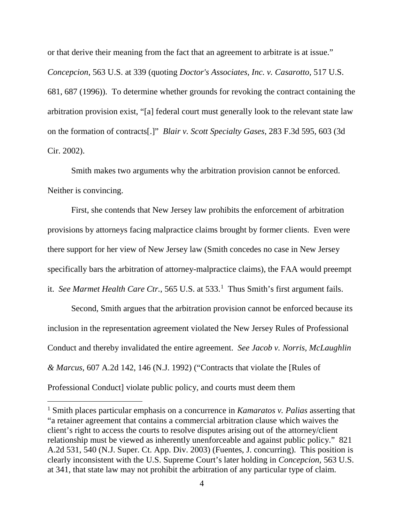or that derive their meaning from the fact that an agreement to arbitrate is at issue." *Concepcion*, 563 U.S. at 339 (quoting *Doctor's Associates, Inc. v. Casarotto,* 517 U.S. 681, 687 (1996)). To determine whether grounds for revoking the contract containing the arbitration provision exist, "[a] federal court must generally look to the relevant state law on the formation of contracts[.]" *Blair v. Scott Specialty Gases*, 283 F.3d 595, 603 (3d Cir. 2002).

Smith makes two arguments why the arbitration provision cannot be enforced. Neither is convincing.

First, she contends that New Jersey law prohibits the enforcement of arbitration provisions by attorneys facing malpractice claims brought by former clients. Even were there support for her view of New Jersey law (Smith concedes no case in New Jersey specifically bars the arbitration of attorney-malpractice claims), the FAA would preempt

it. *See Marmet Health Care Ctr.*, 565 U.S. at 533.<sup>[1](#page-3-0)</sup> Thus Smith's first argument fails.

Second, Smith argues that the arbitration provision cannot be enforced because its inclusion in the representation agreement violated the New Jersey Rules of Professional Conduct and thereby invalidated the entire agreement. *See Jacob v. Norris, McLaughlin & Marcus*, 607 A.2d 142, 146 (N.J. 1992) ("Contracts that violate the [Rules of Professional Conduct] violate public policy, and courts must deem them

<span id="page-3-0"></span> <sup>1</sup> Smith places particular emphasis on a concurrence in *Kamaratos v. Palias* asserting that "a retainer agreement that contains a commercial arbitration clause which waives the client's right to access the courts to resolve disputes arising out of the attorney/client relationship must be viewed as inherently unenforceable and against public policy." 821 A.2d 531, 540 (N.J. Super. Ct. App. Div. 2003) (Fuentes, J. concurring). This position is clearly inconsistent with the U.S. Supreme Court's later holding in *Concepcion,* 563 U.S. at 341, that state law may not prohibit the arbitration of any particular type of claim.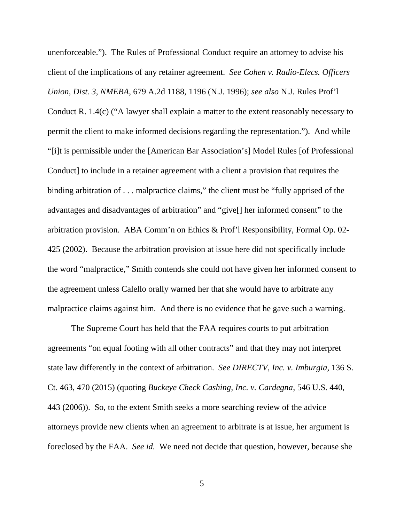unenforceable."). The Rules of Professional Conduct require an attorney to advise his client of the implications of any retainer agreement. *See Cohen v. Radio-Elecs. Officers Union, Dist. 3, NMEBA*, 679 A.2d 1188, 1196 (N.J. 1996); *see also* N.J. Rules Prof'l Conduct R. 1.4(c) ("A lawyer shall explain a matter to the extent reasonably necessary to permit the client to make informed decisions regarding the representation."). And while "[i]t is permissible under the [American Bar Association's] Model Rules [of Professional Conduct] to include in a retainer agreement with a client a provision that requires the binding arbitration of . . . malpractice claims," the client must be "fully apprised of the advantages and disadvantages of arbitration" and "give[] her informed consent" to the arbitration provision. ABA Comm'n on Ethics & Prof'l Responsibility, Formal Op. 02- 425 (2002). Because the arbitration provision at issue here did not specifically include the word "malpractice," Smith contends she could not have given her informed consent to the agreement unless Calello orally warned her that she would have to arbitrate any malpractice claims against him. And there is no evidence that he gave such a warning.

The Supreme Court has held that the FAA requires courts to put arbitration agreements "on equal footing with all other contracts" and that they may not interpret state law differently in the context of arbitration. *See DIRECTV, Inc. v. Imburgia*, 136 S. Ct. 463, 470 (2015) (quoting *Buckeye Check Cashing, Inc. v. Cardegna*, 546 U.S. 440, 443 (2006)). So, to the extent Smith seeks a more searching review of the advice attorneys provide new clients when an agreement to arbitrate is at issue, her argument is foreclosed by the FAA. *See id.* We need not decide that question, however, because she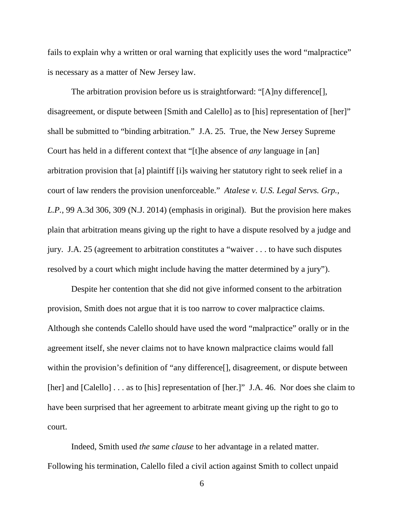fails to explain why a written or oral warning that explicitly uses the word "malpractice" is necessary as a matter of New Jersey law.

The arbitration provision before us is straightforward: "[A]ny difference[], disagreement, or dispute between [Smith and Calello] as to [his] representation of [her]" shall be submitted to "binding arbitration." J.A. 25. True, the New Jersey Supreme Court has held in a different context that "[t]he absence of *any* language in [an] arbitration provision that [a] plaintiff [i]s waiving her statutory right to seek relief in a court of law renders the provision unenforceable." *Atalese v. U.S. Legal Servs. Grp., L.P.*, 99 A.3d 306, 309 (N.J. 2014) (emphasis in original). But the provision here makes plain that arbitration means giving up the right to have a dispute resolved by a judge and jury. J.A. 25 (agreement to arbitration constitutes a "waiver . . . to have such disputes resolved by a court which might include having the matter determined by a jury").

Despite her contention that she did not give informed consent to the arbitration provision, Smith does not argue that it is too narrow to cover malpractice claims. Although she contends Calello should have used the word "malpractice" orally or in the agreement itself, she never claims not to have known malpractice claims would fall within the provision's definition of "any difference[], disagreement, or dispute between [her] and [Calello] . . . as to [his] representation of [her.]" J.A. 46. Nor does she claim to have been surprised that her agreement to arbitrate meant giving up the right to go to court.

Indeed, Smith used *the same clause* to her advantage in a related matter. Following his termination, Calello filed a civil action against Smith to collect unpaid

6